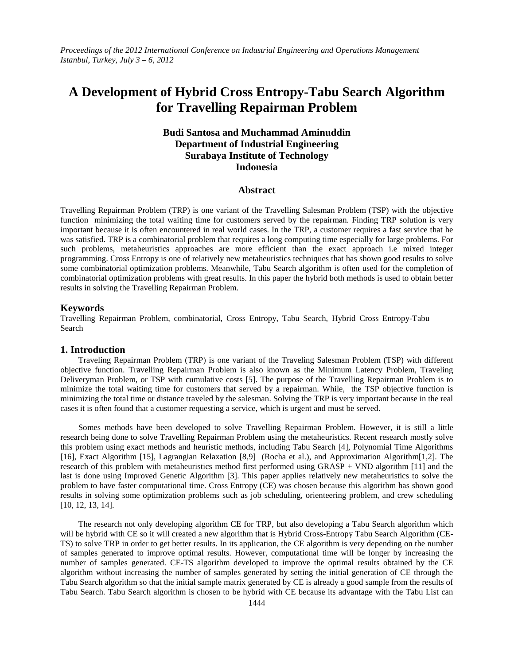*Proceedings of the 2012 International Conference on Industrial Engineering and Operations Management Istanbul, Turkey, July 3 – 6, 2012*

# **A Development of Hybrid Cross Entropy-Tabu Search Algorithm for Travelling Repairman Problem**

# **Budi Santosa and Muchammad Aminuddin Department of Industrial Engineering Surabaya Institute of Technology Indonesia**

## **Abstract**

Travelling Repairman Problem (TRP) is one variant of the Travelling Salesman Problem (TSP) with the objective function minimizing the total waiting time for customers served by the repairman. Finding TRP solution is very important because it is often encountered in real world cases. In the TRP, a customer requires a fast service that he was satisfied. TRP is a combinatorial problem that requires a long computing time especially for large problems. For such problems, metaheuristics approaches are more efficient than the exact approach i.e mixed integer programming. Cross Entropy is one of relatively new metaheuristics techniques that has shown good results to solve some combinatorial optimization problems. Meanwhile, Tabu Search algorithm is often used for the completion of combinatorial optimization problems with great results. In this paper the hybrid both methods is used to obtain better results in solving the Travelling Repairman Problem.

### **Keywords**

Travelling Repairman Problem, combinatorial, Cross Entropy, Tabu Search, Hybrid Cross Entropy-Tabu Search

#### **1. Introduction**

Traveling Repairman Problem (TRP) is one variant of the Traveling Salesman Problem (TSP) with different objective function. Travelling Repairman Problem is also known as the Minimum Latency Problem, Traveling Deliveryman Problem, or TSP with cumulative costs [5]. The purpose of the Travelling Repairman Problem is to minimize the total waiting time for customers that served by a repairman. While, the TSP objective function is minimizing the total time or distance traveled by the salesman. Solving the TRP is very important because in the real cases it is often found that a customer requesting a service, which is urgent and must be served.

Somes methods have been developed to solve Travelling Repairman Problem. However, it is still a little research being done to solve Travelling Repairman Problem using the metaheuristics. Recent research mostly solve this problem using exact methods and heuristic methods, including Tabu Search [4], Polynomial Time Algorithms [16], Exact Algorithm [15], Lagrangian Relaxation [8,9] (Rocha et al.), and Approximation Algorithm[1,2]. The research of this problem with metaheuristics method first performed using GRASP + VND algorithm [11] and the last is done using Improved Genetic Algorithm [3]. This paper applies relatively new metaheuristics to solve the problem to have faster computational time. Cross Entropy (CE) was chosen because this algorithm has shown good results in solving some optimization problems such as job scheduling, orienteering problem, and crew scheduling [10, 12, 13, 14].

The research not only developing algorithm CE for TRP, but also developing a Tabu Search algorithm which will be hybrid with CE so it will created a new algorithm that is Hybrid Cross-Entropy Tabu Search Algorithm (CE-TS) to solve TRP in order to get better results. In its application, the CE algorithm is very depending on the number of samples generated to improve optimal results. However, computational time will be longer by increasing the number of samples generated. CE-TS algorithm developed to improve the optimal results obtained by the CE algorithm without increasing the number of samples generated by setting the initial generation of CE through the Tabu Search algorithm so that the initial sample matrix generated by CE is already a good sample from the results of Tabu Search. Tabu Search algorithm is chosen to be hybrid with CE because its advantage with the Tabu List can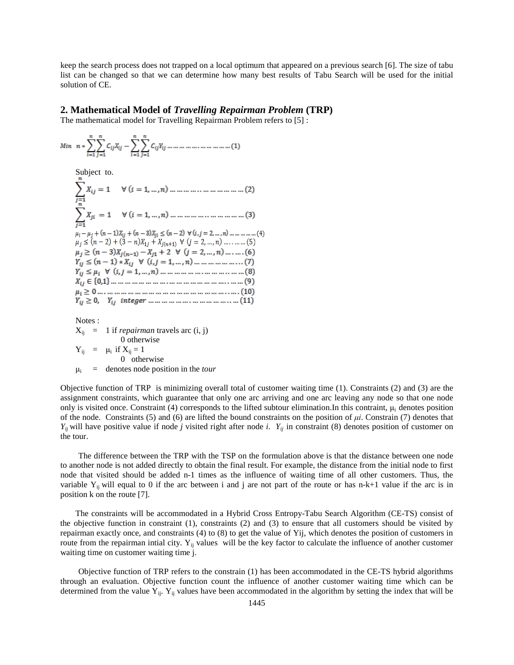keep the search process does not trapped on a local optimum that appeared on a previous search [6]. The size of tabu list can be changed so that we can determine how many best results of Tabu Search will be used for the initial solution of CE.

#### **2. Mathematical Model of** *Travelling Repairman Problem* **(TRP)**

The mathematical model for Travelling Repairman Problem refers to [5] :

Subject to. Notes :

 $X_{ij} = 1$  if *repairman* travels arc  $(i, j)$ 0 otherwise  $Y_{ij}$  =  $\mu_i$  if  $X_{ij} = 1$ 0 otherwise μ<sup>i</sup> = denotes node position in the *tour*

Objective function of TRP is minimizing overall total of customer waiting time (1). Constraints (2) and (3) are the assignment constraints, which guarantee that only one arc arriving and one arc leaving any node so that one node only is visited once. Constraint (4) corresponds to the lifted subtour elimination. In this contraint,  $\mu_i$  denotes position of the node. Constraints (5) and (6) are lifted the bound constraints on the position of *μi*. Constrain (7) denotes that *Yij* will have positive value if node *j* visited right after node *i*. *Yij* in constraint (8) denotes position of customer on the tour.

The difference between the TRP with the TSP on the formulation above is that the distance between one node to another node is not added directly to obtain the final result. For example, the distance from the initial node to first node that visited should be added n-1 times as the influence of waiting time of all other customers. Thus, the variable  $Y_{ij}$  will equal to 0 if the arc between i and j are not part of the route or has n-k+1 value if the arc is in position k on the route [7].

The constraints will be accommodated in a Hybrid Cross Entropy-Tabu Search Algorithm (CE-TS) consist of the objective function in constraint (1), constraints (2) and (3) to ensure that all customers should be visited by repairman exactly once, and constraints (4) to (8) to get the value of Yij, which denotes the position of customers in route from the repairman intial city.  $Y_{ij}$  values will be the key factor to calculate the influence of another customer waiting time on customer waiting time j.

Objective function of TRP refers to the constrain (1) has been accommodated in the CE-TS hybrid algorithms through an evaluation. Objective function count the influence of another customer waiting time which can be determined from the value  $Y_{ij}$ .  $Y_{ij}$  values have been accommodated in the algorithm by setting the index that will be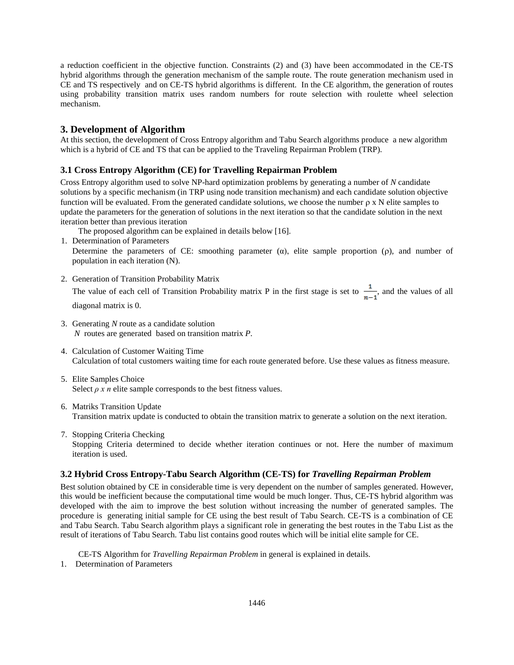a reduction coefficient in the objective function. Constraints (2) and (3) have been accommodated in the CE-TS hybrid algorithms through the generation mechanism of the sample route. The route generation mechanism used in CE and TS respectively and on CE-TS hybrid algorithms is different. In the CE algorithm, the generation of routes using probability transition matrix uses random numbers for route selection with roulette wheel selection mechanism.

## **3. Development of Algorithm**

At this section, the development of Cross Entropy algorithm and Tabu Search algorithms produce a new algorithm which is a hybrid of CE and TS that can be applied to the Traveling Repairman Problem (TRP).

## **3.1 Cross Entropy Algorithm (CE) for Travelling Repairman Problem**

Cross Entropy algorithm used to solve NP-hard optimization problems by generating a number of *N* candidate solutions by a specific mechanism (in TRP using node transition mechanism) and each candidate solution objective function will be evaluated. From the generated candidate solutions, we choose the number ρ x N elite samples to update the parameters for the generation of solutions in the next iteration so that the candidate solution in the next iteration better than previous iteration

The proposed algorithm can be explained in details below [16].

1. Determination of Parameters

Determine the parameters of CE: smoothing parameter  $(\alpha)$ , elite sample proportion  $(\rho)$ , and number of population in each iteration (N).

2. Generation of Transition Probability Matrix

The value of each cell of Transition Probability matrix P in the first stage is set to  $\frac{1}{n-1}$ , and the values of all diagonal matrix is 0.

- 3. Generating *N* route as a candidate solution *N* routes are generated based on transition matrix *P*.
- 4. Calculation of Customer Waiting Time Calculation of total customers waiting time for each route generated before. Use these values as fitness measure.
- 5. Elite Samples Choice Select  $\rho$  x n elite sample corresponds to the best fitness values.
- 6. Matriks Transition Update Transition matrix update is conducted to obtain the transition matrix to generate a solution on the next iteration.
- 7. Stopping Criteria Checking Stopping Criteria determined to decide whether iteration continues or not. Here the number of maximum iteration is used.

### **3.2 Hybrid Cross Entropy-Tabu Search Algorithm (CE-TS) for** *Travelling Repairman Problem*

Best solution obtained by CE in considerable time is very dependent on the number of samples generated. However, this would be inefficient because the computational time would be much longer. Thus, CE-TS hybrid algorithm was developed with the aim to improve the best solution without increasing the number of generated samples. The procedure is generating initial sample for CE using the best result of Tabu Search. CE-TS is a combination of CE and Tabu Search. Tabu Search algorithm plays a significant role in generating the best routes in the Tabu List as the result of iterations of Tabu Search. Tabu list contains good routes which will be initial elite sample for CE.

CE-TS Algorithm for *Travelling Repairman Problem* in general is explained in details.

1. Determination of Parameters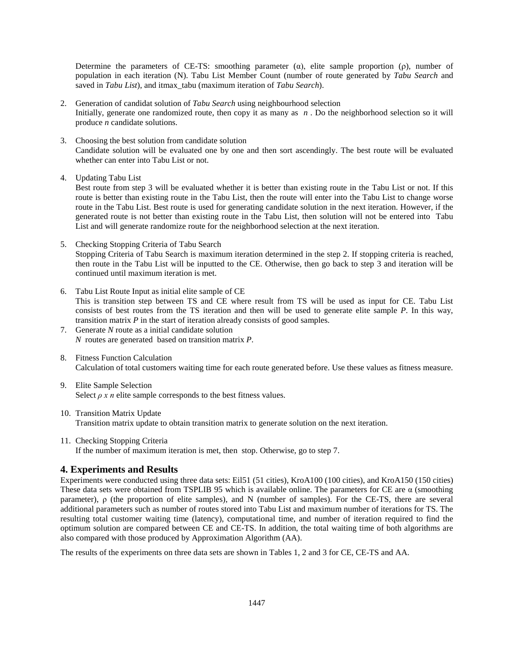Determine the parameters of CE-TS: smoothing parameter  $(\alpha)$ , elite sample proportion  $(\rho)$ , number of population in each iteration (N). Tabu List Member Count (number of route generated by *Tabu Search* and saved in *Tabu List*), and itmax\_tabu (maximum iteration of *Tabu Search*).

- 2. Generation of candidat solution of *Tabu Search* using neighbourhood selection Initially, generate one randomized route, then copy it as many as *n* . Do the neighborhood selection so it will produce *n* candidate solutions.
- 3. Choosing the best solution from candidate solution Candidate solution will be evaluated one by one and then sort ascendingly. The best route will be evaluated whether can enter into Tabu List or not.
- 4. Updating Tabu List

Best route from step 3 will be evaluated whether it is better than existing route in the Tabu List or not. If this route is better than existing route in the Tabu List, then the route will enter into the Tabu List to change worse route in the Tabu List. Best route is used for generating candidate solution in the next iteration. However, if the generated route is not better than existing route in the Tabu List, then solution will not be entered into Tabu List and will generate randomize route for the neighborhood selection at the next iteration.

- 5. Checking Stopping Criteria of Tabu Search Stopping Criteria of Tabu Search is maximum iteration determined in the step 2. If stopping criteria is reached, then route in the Tabu List will be inputted to the CE. Otherwise, then go back to step 3 and iteration will be continued until maximum iteration is met.
- 6. Tabu List Route Input as initial elite sample of CE This is transition step between TS and CE where result from TS will be used as input for CE. Tabu List consists of best routes from the TS iteration and then will be used to generate elite sample *P*. In this way, transition matrix *P* in the start of iteration already consists of good samples.
- 7. Generate *N* route as a initial candidate solution *N* routes are generated based on transition matrix *P*.
- 8. Fitness Function Calculation Calculation of total customers waiting time for each route generated before. Use these values as fitness measure.
- 9. Elite Sample Selection Select  $\rho$  x n elite sample corresponds to the best fitness values.
- 10. Transition Matrix Update Transition matrix update to obtain transition matrix to generate solution on the next iteration.
- 11. Checking Stopping Criteria If the number of maximum iteration is met, then stop. Otherwise, go to step 7.

## **4. Experiments and Results**

Experiments were conducted using three data sets: Eil51 (51 cities), KroA100 (100 cities), and KroA150 (150 cities) These data sets were obtained from TSPLIB 95 which is available online. The parameters for CE are α (smoothing parameter), ρ (the proportion of elite samples), and N (number of samples). For the CE-TS, there are several additional parameters such as number of routes stored into Tabu List and maximum number of iterations for TS. The resulting total customer waiting time (latency), computational time, and number of iteration required to find the optimum solution are compared between CE and CE-TS. In addition, the total waiting time of both algorithms are also compared with those produced by Approximation Algorithm (AA).

The results of the experiments on three data sets are shown in Tables 1, 2 and 3 for CE, CE-TS and AA.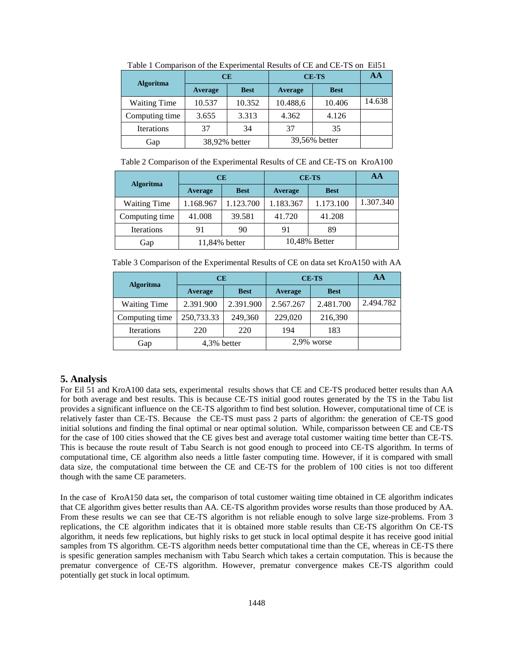| <b>Algoritma</b>    | <b>CE</b>     |             | <b>CE-TS</b>  |             | AA     |
|---------------------|---------------|-------------|---------------|-------------|--------|
|                     | Average       | <b>Best</b> | Average       | <b>Best</b> |        |
| <b>Waiting Time</b> | 10.537        | 10.352      | 10.488,6      | 10.406      | 14.638 |
| Computing time      | 3.655         | 3.313       | 4.362         | 4.126       |        |
| <b>Iterations</b>   | 37            | 34          | 37            | 35          |        |
| Gap                 | 38,92% better |             | 39,56% better |             |        |

Table 1 Comparison of the Experimental Results of CE and CE-TS on Eil51

Table 2 Comparison of the Experimental Results of CE and CE-TS on KroA100

| <b>Algoritma</b>    | CE            |             | <b>CE-TS</b>  |             | AA        |
|---------------------|---------------|-------------|---------------|-------------|-----------|
|                     | Average       | <b>Best</b> | Average       | <b>Best</b> |           |
| <b>Waiting Time</b> | 1.168.967     | 1.123.700   | 1.183.367     | 1.173.100   | 1.307.340 |
| Computing time      | 41.008        | 39.581      | 41.720        | 41.208      |           |
| <b>Iterations</b>   | 91            | 90          | 91            | 89          |           |
| Gap                 | 11,84% better |             | 10,48% Better |             |           |

Table 3 Comparison of the Experimental Results of CE on data set KroA150 with AA

| <b>Algoritma</b>    | <b>CE</b>   |             | <b>CE-TS</b> |             | ΑA        |
|---------------------|-------------|-------------|--------------|-------------|-----------|
|                     | Average     | <b>Best</b> | Average      | <b>Best</b> |           |
| <b>Waiting Time</b> | 2.391.900   | 2.391.900   | 2.567.267    | 2.481.700   | 2.494.782 |
| Computing time      | 250,733.33  | 249,360     | 229,020      | 216,390     |           |
| <b>Iterations</b>   | 220         | 220         | 194          | 183         |           |
| Gap                 | 4,3% better |             | 2.9% worse   |             |           |

### **5. Analysis**

For Eil 51 and KroA100 data sets, experimental results shows that CE and CE-TS produced better results than AA for both average and best results. This is because CE-TS initial good routes generated by the TS in the Tabu list provides a significant influence on the CE-TS algorithm to find best solution. However, computational time of CE is relatively faster than CE-TS. Because the CE-TS must pass 2 parts of algorithm: the generation of CE-TS good initial solutions and finding the final optimal or near optimal solution. While, comparisson between CE and CE-TS for the case of 100 cities showed that the CE gives best and average total customer waiting time better than CE-TS. This is because the route result of Tabu Search is not good enough to proceed into CE-TS algorithm. In terms of computational time, CE algorithm also needs a little faster computing time. However, if it is compared with small data size, the computational time between the CE and CE-TS for the problem of 100 cities is not too different though with the same CE parameters.

In the case of KroA150 data set, the comparison of total customer waiting time obtained in CE algorithm indicates that CE algorithm gives better results than AA. CE-TS algorithm provides worse results than those produced by AA. From these results we can see that CE-TS algorithm is not reliable enough to solve large size-problems. From 3 replications, the CE algorithm indicates that it is obtained more stable results than CE-TS algorithm On CE-TS algorithm, it needs few replications, but highly risks to get stuck in local optimal despite it has receive good initial samples from TS algorithm. CE-TS algorithm needs better computational time than the CE, whereas in CE-TS there is spesific generation samples mechanism with Tabu Search which takes a certain computation. This is because the prematur convergence of CE-TS algorithm. However, prematur convergence makes CE-TS algorithm could potentially get stuck in local optimum.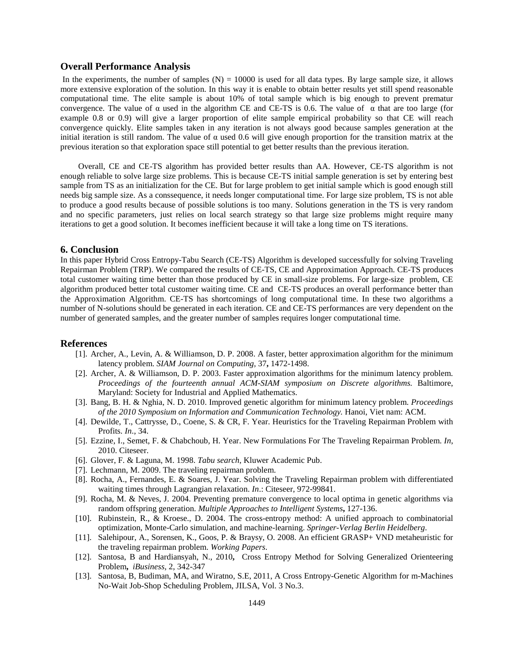## **Overall Performance Analysis**

In the experiments, the number of samples  $(N) = 10000$  is used for all data types. By large sample size, it allows more extensive exploration of the solution. In this way it is enable to obtain better results yet still spend reasonable computational time. The elite sample is about 10% of total sample which is big enough to prevent prematur convergence. The value of  $\alpha$  used in the algorithm CE and CE-TS is 0.6. The value of  $\alpha$  that are too large (for example 0.8 or 0.9) will give a larger proportion of elite sample empirical probability so that CE will reach convergence quickly. Elite samples taken in any iteration is not always good because samples generation at the initial iteration is still random. The value of  $\alpha$  used 0.6 will give enough proportion for the transition matrix at the previous iteration so that exploration space still potential to get better results than the previous iteration.

Overall, CE and CE-TS algorithm has provided better results than AA. However, CE-TS algorithm is not enough reliable to solve large size problems. This is because CE-TS initial sample generation is set by entering best sample from TS as an initialization for the CE. But for large problem to get initial sample which is good enough still needs big sample size. As a conssequence, it needs longer computational time. For large size problem, TS is not able to produce a good results because of possible solutions is too many. Solutions generation in the TS is very random and no specific parameters, just relies on local search strategy so that large size problems might require many iterations to get a good solution. It becomes inefficient because it will take a long time on TS iterations.

#### **6. Conclusion**

In this paper Hybrid Cross Entropy-Tabu Search (CE-TS) Algorithm is developed successfully for solving Traveling Repairman Problem (TRP). We compared the results of CE-TS, CE and Approximation Approach. CE-TS produces total customer waiting time better than those produced by CE in small-size problems. For large-size problem, CE algorithm produced better total customer waiting time. CE and CE-TS produces an overall performance better than the Approximation Algorithm. CE-TS has shortcomings of long computational time. In these two algorithms a number of N-solutions should be generated in each iteration. CE and CE-TS performances are very dependent on the number of generated samples, and the greater number of samples requires longer computational time.

## **References**

- [1]. Archer, A., Levin, A. & Williamson, D. P. 2008. A faster, better approximation algorithm for the minimum latency problem. *SIAM Journal on Computing,* 37**,** 1472-1498.
- [2]. Archer, A. & Williamson, D. P. 2003. Faster approximation algorithms for the minimum latency problem. *Proceedings of the fourteenth annual ACM-SIAM symposium on Discrete algorithms.* Baltimore, Maryland: Society for Industrial and Applied Mathematics.
- [3]. Bang, B. H. & Nghia, N. D. 2010. Improved genetic algorithm for minimum latency problem. *Proceedings of the 2010 Symposium on Information and Communication Technology.* Hanoi, Viet nam: ACM.
- [4]. Dewilde, T., Cattrysse, D., Coene, S. & CR, F. Year. Heuristics for the Traveling Repairman Problem with Profits. *In*., 34.
- [5]. Ezzine, I., Semet, F. & Chabchoub, H. Year. New Formulations For The Traveling Repairman Problem. *In*, 2010. Citeseer.
- [6]. Glover, F. & Laguna, M. 1998. *Tabu search*, Kluwer Academic Pub.
- [7]. Lechmann, M. 2009. The traveling repairman problem.
- [8]. Rocha, A., Fernandes, E. & Soares, J. Year. Solving the Traveling Repairman problem with differentiated waiting times through Lagrangian relaxation. *In*.: Citeseer, 972-99841.
- [9]. Rocha, M. & Neves, J. 2004. Preventing premature convergence to local optima in genetic algorithms via random offspring generation. *Multiple Approaches to Intelligent Systems***,** 127-136.
- [10]. Rubinstein, R., & Kroese., D. 2004. The cross-entropy method: A unified approach to combinatorial optimization, Monte-Carlo simulation, and machine-learning. *Springer-Verlag Berlin Heidelberg*.
- [11]. Salehipour, A., Sorensen, K., Goos, P. & Braysy, O. 2008. An efficient GRASP+ VND metaheuristic for the traveling repairman problem. *Working Papers*.
- [12]. Santosa, B and Hardiansyah, N., 2010**,** Cross Entropy Method for Solving Generalized Orienteering Problem**,** *iBusiness*, 2, 342-347
- [13]. Santosa, B, Budiman, MA, and Wiratno, S.E, 2011, A Cross Entropy-Genetic Algorithm for m-Machines No-Wait Job-Shop Scheduling Problem, JILSA, Vol. 3 No.3.